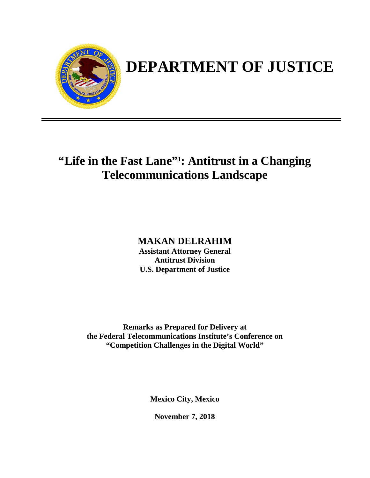

# **DEPARTMENT OF JUSTICE**

# **"Life in the Fast Lane"1 : Antitrust in a Changing Telecommunications Landscape**

**MAKAN DELRAHIM Assistant Attorney General Antitrust Division U.S. Department of Justice**

**Remarks as Prepared for Delivery at the Federal Telecommunications Institute's Conference on "Competition Challenges in the Digital World"**

**Mexico City, Mexico**

**November 7, 2018**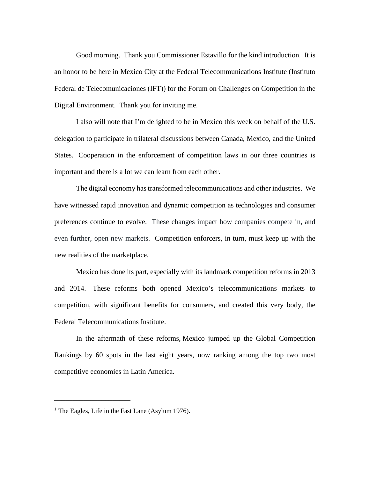Good morning. Thank you Commissioner Estavillo for the kind introduction. It is an honor to be here in Mexico City at the Federal Telecommunications Institute (Instituto Federal de Telecomunicaciones (IFT)) for the Forum on Challenges on Competition in the Digital Environment. Thank you for inviting me.

I also will note that I'm delighted to be in Mexico this week on behalf of the U.S. delegation to participate in trilateral discussions between Canada, Mexico, and the United States. Cooperation in the enforcement of competition laws in our three countries is important and there is a lot we can learn from each other.

The digital economy has transformed telecommunications and other industries. We have witnessed rapid innovation and dynamic competition as technologies and consumer preferences continue to evolve. These changes impact how companies compete in, and even further, open new markets. Competition enforcers, in turn, must keep up with the new realities of the marketplace.

Mexico has done its part, especially with its landmark competition reforms in 2013 and 2014. These reforms both opened Mexico's telecommunications markets to competition, with significant benefits for consumers, and created this very body, the Federal Telecommunications Institute.

In the aftermath of these reforms, Mexico jumped up the Global Competition Rankings by 60 spots in the last eight years, now ranking among the top two most competitive economies in Latin America.

\_\_\_\_\_\_\_\_\_\_\_\_\_\_\_\_\_\_\_\_\_

<sup>&</sup>lt;sup>1</sup> The Eagles, Life in the Fast Lane (Asylum 1976).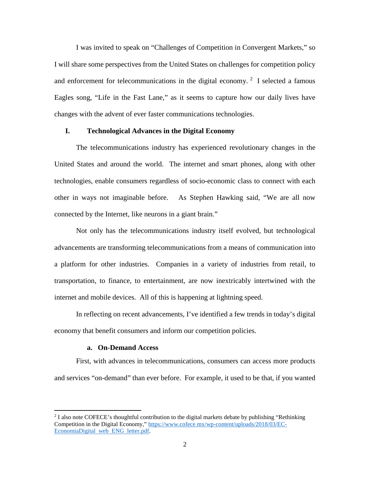I was invited to speak on "Challenges of Competition in Convergent Markets," so I will share some perspectives from the United States on challenges for competition policy and enforcement for telecommunications in the digital economy.<sup>[2](#page-2-0)</sup> I selected a famous Eagles song, "Life in the Fast Lane," as it seems to capture how our daily lives have changes with the advent of ever faster communications technologies.

# **I. Technological Advances in the Digital Economy**

The telecommunications industry has experienced revolutionary changes in the United States and around the world. The internet and smart phones, along with other technologies, enable consumers regardless of socio-economic class to connect with each other in ways not imaginable before. As Stephen Hawking said, "We are all now connected by the Internet, like neurons in a giant brain."

Not only has the telecommunications industry itself evolved, but technological advancements are transforming telecommunications from a means of communication into a platform for other industries. Companies in a variety of industries from retail, to transportation, to finance, to entertainment, are now inextricably intertwined with the internet and mobile devices. All of this is happening at lightning speed.

In reflecting on recent advancements, I've identified a few trends in today's digital economy that benefit consumers and inform our competition policies.

#### **a. On-Demand Access**

 $\overline{\phantom{a}}$ 

First, with advances in telecommunications, consumers can access more products and services "on-demand" than ever before. For example, it used to be that, if you wanted

<span id="page-2-0"></span><sup>&</sup>lt;sup>2</sup> I also note COFECE's thoughtful contribution to the digital markets debate by publishing "Rethinking" Competition in the Digital Economy," [https://www.cofece mx/wp-content/uploads/2018/03/EC-](https://www.cofece.mx/wp-content/uploads/2018/03/EC-EconomiaDigital_web_ENG_letter.pdf)[EconomiaDigital web ENG letter.pdf.](https://www.cofece.mx/wp-content/uploads/2018/03/EC-EconomiaDigital_web_ENG_letter.pdf)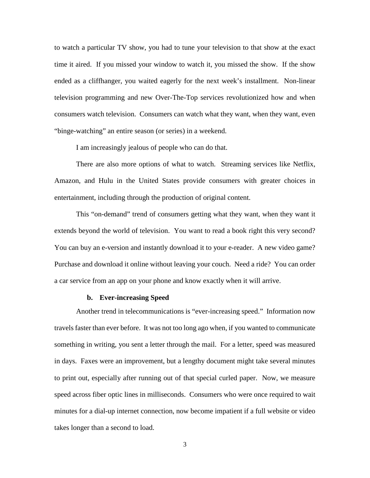to watch a particular TV show, you had to tune your television to that show at the exact time it aired. If you missed your window to watch it, you missed the show. If the show ended as a cliffhanger, you waited eagerly for the next week's installment. Non-linear television programming and new Over-The-Top services revolutionized how and when consumers watch television. Consumers can watch what they want, when they want, even "binge-watching" an entire season (or series) in a weekend.

I am increasingly jealous of people who can do that.

There are also more options of what to watch. Streaming services like Netflix, Amazon, and Hulu in the United States provide consumers with greater choices in entertainment, including through the production of original content.

This "on-demand" trend of consumers getting what they want, when they want it extends beyond the world of television. You want to read a book right this very second? You can buy an e-version and instantly download it to your e-reader. A new video game? Purchase and download it online without leaving your couch. Need a ride? You can order a car service from an app on your phone and know exactly when it will arrive.

#### **b. Ever-increasing Speed**

Another trend in telecommunications is "ever-increasing speed." Information now travels faster than ever before. It was not too long ago when, if you wanted to communicate something in writing, you sent a letter through the mail. For a letter, speed was measured in days. Faxes were an improvement, but a lengthy document might take several minutes to print out, especially after running out of that special curled paper. Now, we measure speed across fiber optic lines in milliseconds. Consumers who were once required to wait minutes for a dial-up internet connection, now become impatient if a full website or video takes longer than a second to load.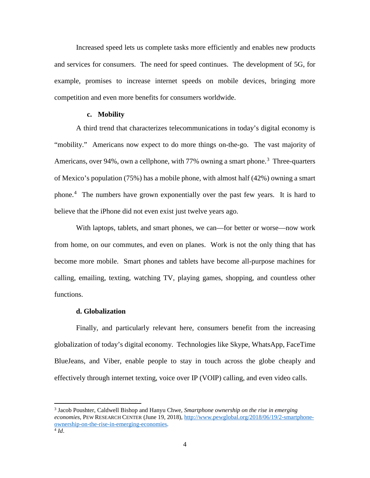Increased speed lets us complete tasks more efficiently and enables new products and services for consumers. The need for speed continues. The development of 5G, for example, promises to increase internet speeds on mobile devices, bringing more competition and even more benefits for consumers worldwide.

# **c. Mobility**

A third trend that characterizes telecommunications in today's digital economy is "mobility." Americans now expect to do more things on-the-go. The vast majority of Americans, over 94%, own a cellphone, with 77% owning a smart phone.<sup>[3](#page-4-0)</sup> Three-quarters of Mexico's population (75%) has a mobile phone, with almost half (42%) owning a smart phone.[4](#page-4-1) The numbers have grown exponentially over the past few years. It is hard to believe that the iPhone did not even exist just twelve years ago.

With laptops, tablets, and smart phones, we can—for better or worse—now work from home, on our commutes, and even on planes. Work is not the only thing that has become more mobile. Smart phones and tablets have become all-purpose machines for calling, emailing, texting, watching TV, playing games, shopping, and countless other functions.

## **d. Globalization**

Finally, and particularly relevant here, consumers benefit from the increasing globalization of today's digital economy. Technologies like Skype, WhatsApp, FaceTime BlueJeans, and Viber, enable people to stay in touch across the globe cheaply and effectively through internet texting, voice over IP (VOIP) calling, and even video calls.

<span id="page-4-1"></span><span id="page-4-0"></span><sup>3</sup> Jacob Poushter, Caldwell Bishop and Hanyu Chwe, *Smartphone ownership on the rise in emerging economies*, PEW RESEARCH CENTER (June 19, 2018), [http://www.pewglobal.org/2018/06/19/2-smartphone](http://www.pewglobal.org/2018/06/19/2-smartphone-ownership-on-the-rise-in-emerging-economies)[ownership-on-the-rise-in-emerging-economies.](http://www.pewglobal.org/2018/06/19/2-smartphone-ownership-on-the-rise-in-emerging-economies)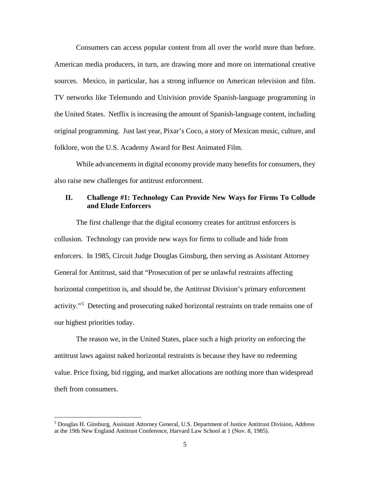Consumers can access popular content from all over the world more than before. American media producers, in turn, are drawing more and more on international creative sources. Mexico, in particular, has a strong influence on American television and film. TV networks like Telemundo and Univision provide Spanish-language programming in the United States. Netflix is increasing the amount of Spanish-language content, including original programming. Just last year, Pixar's Coco, a story of Mexican music, culture, and folklore, won the U.S. Academy Award for Best Animated Film.

While advancements in digital economy provide many benefits for consumers, they also raise new challenges for antitrust enforcement.

# **II. Challenge #1: Technology Can Provide New Ways for Firms To Collude and Elude Enforcers**

The first challenge that the digital economy creates for antitrust enforcers is collusion. Technology can provide new ways for firms to collude and hide from enforcers. In 1985, Circuit Judge Douglas Ginsburg, then serving as Assistant Attorney General for Antitrust, said that "Prosecution of per se unlawful restraints affecting horizontal competition is, and should be, the Antitrust Division's primary enforcement activity."<sup>[5](#page-5-0)</sup> Detecting and prosecuting naked horizontal restraints on trade remains one of our highest priorities today.

The reason we, in the United States, place such a high priority on enforcing the antitrust laws against naked horizontal restraints is because they have no redeeming value. Price fixing, bid rigging, and market allocations are nothing more than widespread theft from consumers.

l

<span id="page-5-0"></span><sup>5</sup> Douglas H. Ginsburg, Assistant Attorney General, U.S. Department of Justice Antitrust Division, Address at the 19th New England Antitrust Conference, Harvard Law School at 1 (Nov. 8, 1985).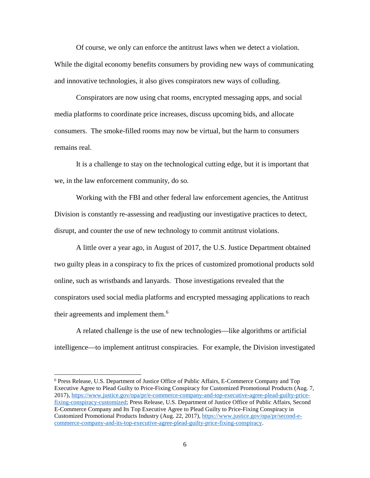Of course, we only can enforce the antitrust laws when we detect a violation. While the digital economy benefits consumers by providing new ways of communicating and innovative technologies, it also gives conspirators new ways of colluding.

Conspirators are now using chat rooms, encrypted messaging apps, and social media platforms to coordinate price increases, discuss upcoming bids, and allocate consumers. The smoke-filled rooms may now be virtual, but the harm to consumers remains real.

It is a challenge to stay on the technological cutting edge, but it is important that we, in the law enforcement community, do so.

Working with the FBI and other federal law enforcement agencies, the Antitrust Division is constantly re-assessing and readjusting our investigative practices to detect, disrupt, and counter the use of new technology to commit antitrust violations.

A little over a year ago, in August of 2017, the U.S. Justice Department obtained two guilty pleas in a conspiracy to fix the prices of customized promotional products sold online, such as wristbands and lanyards. Those investigations revealed that the conspirators used social media platforms and encrypted messaging applications to reach their agreements and implement them.<sup>[6](#page-6-0)</sup>

A related challenge is the use of new technologies—like algorithms or artificial intelligence—to implement antitrust conspiracies. For example, the Division investigated

<span id="page-6-0"></span><sup>6</sup> Press Release, U.S. Department of Justice Office of Public Affairs, E-Commerce Company and Top Executive Agree to Plead Guilty to Price-Fixing Conspiracy for Customized Promotional Products (Aug. 7, 2017), [https://www.justice.gov/opa/pr/e-commerce-company-and-top-executive-agree-plead-guilty-price](https://www.justice.gov/opa/pr/e-commerce-company-and-top-executive-agree-plead-guilty-price-fixing-conspiracy-customized)[fixing-conspiracy-customized;](https://www.justice.gov/opa/pr/e-commerce-company-and-top-executive-agree-plead-guilty-price-fixing-conspiracy-customized) Press Release, U.S. Department of Justice Office of Public Affairs, Second E-Commerce Company and Its Top Executive Agree to Plead Guilty to Price-Fixing Conspiracy in Customized Promotional Products Industry (Aug. 22, 2017), [https://www.justice.gov/opa/pr/second-e](https://www.justice.gov/opa/pr/second-e-commerce-company-and-its-top-executive-agree-plead-guilty-price-fixing-conspiracy)[commerce-company-and-its-top-executive-agree-plead-guilty-price-fixing-conspiracy.](https://www.justice.gov/opa/pr/second-e-commerce-company-and-its-top-executive-agree-plead-guilty-price-fixing-conspiracy)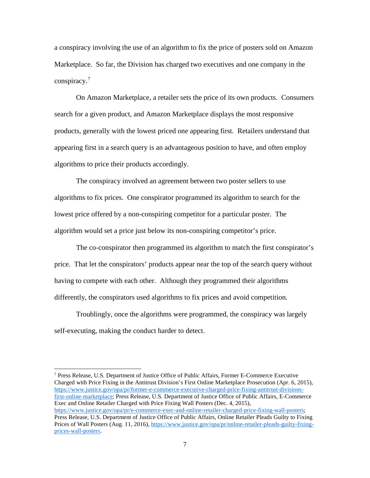a conspiracy involving the use of an algorithm to fix the price of posters sold on Amazon Marketplace. So far, the Division has charged two executives and one company in the conspiracy.[7](#page-7-0)

On Amazon Marketplace, a retailer sets the price of its own products. Consumers search for a given product, and Amazon Marketplace displays the most responsive products, generally with the lowest priced one appearing first. Retailers understand that appearing first in a search query is an advantageous position to have, and often employ algorithms to price their products accordingly.

The conspiracy involved an agreement between two poster sellers to use algorithms to fix prices. One conspirator programmed its algorithm to search for the lowest price offered by a non-conspiring competitor for a particular poster. The algorithm would set a price just below its non-conspiring competitor's price.

The co-conspirator then programmed its algorithm to match the first conspirator's price. That let the conspirators' products appear near the top of the search query without having to compete with each other. Although they programmed their algorithms differently, the conspirators used algorithms to fix prices and avoid competition.

Troublingly, once the algorithms were programmed, the conspiracy was largely self-executing, making the conduct harder to detect.

 $\overline{\phantom{a}}$ 

<span id="page-7-0"></span><sup>7</sup> Press Release, U.S. Department of Justice Office of Public Affairs, Former E-Commerce Executive Charged with Price Fixing in the Antitrust Division's First Online Marketplace Prosecution (Apr. 6, 2015), [https://www.justice.gov/opa/pr/former-e-commerce-executive-charged-price-fixing-antitrust-divisions](https://www.justice.gov/opa/pr/former-e-commerce-executive-charged-price-fixing-antitrust-divisions-first-online-marketplace)[first-online-marketplace;](https://www.justice.gov/opa/pr/former-e-commerce-executive-charged-price-fixing-antitrust-divisions-first-online-marketplace) Press Release, U.S. Department of Justice Office of Public Affairs, E-Commerce Exec and Online Retailer Charged with Price Fixing Wall Posters (Dec. 4, 2015), [https://www.justice.gov/opa/pr/e-commerce-exec-and-online-retailer-charged-price-fixing-wall-posters;](https://www.justice.gov/opa/pr/e-commerce-exec-and-online-retailer-charged-price-fixing-wall-posters) Press Release, U.S. Department of Justice Office of Public Affairs, Online Retailer Pleads Guilty to Fixing Prices of Wall Posters (Aug. 11, 2016), [https://www.justice.gov/opa/pr/online-retailer-pleads-guilty-fixing](https://www.justice.gov/opa/pr/online-retailer-pleads-guilty-fixing-prices-wall-posters)[prices-wall-posters.](https://www.justice.gov/opa/pr/online-retailer-pleads-guilty-fixing-prices-wall-posters)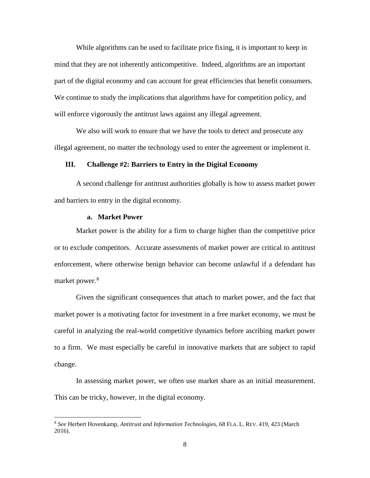While algorithms can be used to facilitate price fixing, it is important to keep in mind that they are not inherently anticompetitive. Indeed, algorithms are an important part of the digital economy and can account for great efficiencies that benefit consumers. We continue to study the implications that algorithms have for competition policy, and will enforce vigorously the antitrust laws against any illegal agreement.

We also will work to ensure that we have the tools to detect and prosecute any illegal agreement, no matter the technology used to enter the agreement or implement it.

# **III. Challenge #2: Barriers to Entry in the Digital Economy**

A second challenge for antitrust authorities globally is how to assess market power and barriers to entry in the digital economy.

#### **a. Market Power**

l

Market power is the ability for a firm to charge higher than the competitive price or to exclude competitors. Accurate assessments of market power are critical to antitrust enforcement, where otherwise benign behavior can become unlawful if a defendant has market power. [8](#page-8-0)

Given the significant consequences that attach to market power, and the fact that market power is a motivating factor for investment in a free market economy, we must be careful in analyzing the real-world competitive dynamics before ascribing market power to a firm. We must especially be careful in innovative markets that are subject to rapid change.

In assessing market power, we often use market share as an initial measurement. This can be tricky, however, in the digital economy.

<span id="page-8-0"></span><sup>8</sup> *See* Herbert Hovenkamp, *Antitrust and Information Technologies*, 68 FLA. L. REV. 419, 423 (March 2016).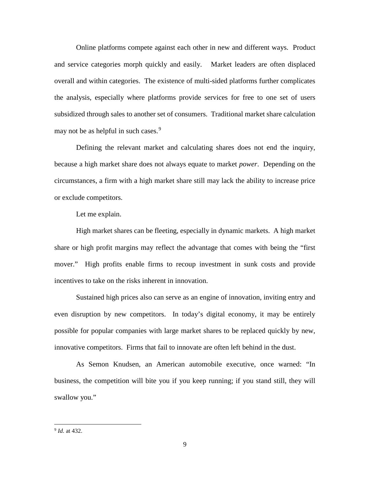Online platforms compete against each other in new and different ways. Product and service categories morph quickly and easily. Market leaders are often displaced overall and within categories. The existence of multi-sided platforms further complicates the analysis, especially where platforms provide services for free to one set of users subsidized through sales to another set of consumers. Traditional market share calculation may not be as helpful in such cases. $9$ 

Defining the relevant market and calculating shares does not end the inquiry, because a high market share does not always equate to market *power*. Depending on the circumstances, a firm with a high market share still may lack the ability to increase price or exclude competitors.

Let me explain.

High market shares can be fleeting, especially in dynamic markets. A high market share or high profit margins may reflect the advantage that comes with being the "first mover." High profits enable firms to recoup investment in sunk costs and provide incentives to take on the risks inherent in innovation.

Sustained high prices also can serve as an engine of innovation, inviting entry and even disruption by new competitors. In today's digital economy, it may be entirely possible for popular companies with large market shares to be replaced quickly by new, innovative competitors. Firms that fail to innovate are often left behind in the dust.

As Semon Knudsen, an American automobile executive, once warned: "In business, the competition will bite you if you keep running; if you stand still, they will swallow you."

<span id="page-9-0"></span><sup>9</sup> *Id.* at 432.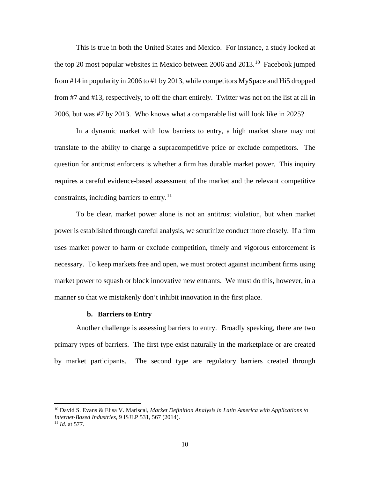This is true in both the United States and Mexico. For instance, a study looked at the top 20 most popular websites in Mexico between 2006 and  $2013$ <sup>[10](#page-10-0)</sup> Facebook jumped from #14 in popularity in 2006 to #1 by 2013, while competitors MySpace and Hi5 dropped from #7 and #13, respectively, to off the chart entirely. Twitter was not on the list at all in 2006, but was #7 by 2013. Who knows what a comparable list will look like in 2025?

In a dynamic market with low barriers to entry, a high market share may not translate to the ability to charge a supracompetitive price or exclude competitors. The question for antitrust enforcers is whether a firm has durable market power. This inquiry requires a careful evidence-based assessment of the market and the relevant competitive constraints, including barriers to entry.<sup>[11](#page-10-1)</sup>

To be clear, market power alone is not an antitrust violation, but when market power is established through careful analysis, we scrutinize conduct more closely. If a firm uses market power to harm or exclude competition, timely and vigorous enforcement is necessary. To keep markets free and open, we must protect against incumbent firms using market power to squash or block innovative new entrants. We must do this, however, in a manner so that we mistakenly don't inhibit innovation in the first place.

#### **b. Barriers to Entry**

 $\overline{a}$ 

Another challenge is assessing barriers to entry. Broadly speaking, there are two primary types of barriers. The first type exist naturally in the marketplace or are created by market participants. The second type are regulatory barriers created through

<span id="page-10-1"></span><span id="page-10-0"></span><sup>10</sup> David S. Evans & Elisa V. Mariscal, *Market Definition Analysis in Latin America with Applications to Internet-Based Industries*, 9 ISJLP 531, 567 (2014). <sup>11</sup> *Id*. at 577.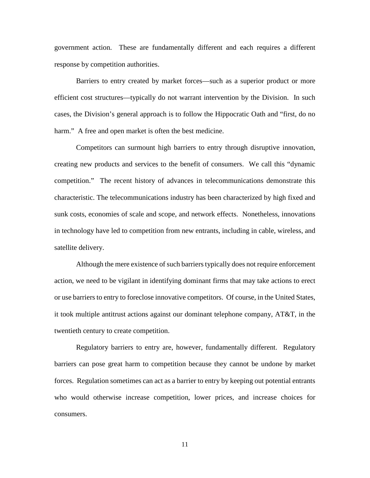government action. These are fundamentally different and each requires a different response by competition authorities.

Barriers to entry created by market forces—such as a superior product or more efficient cost structures—typically do not warrant intervention by the Division. In such cases, the Division's general approach is to follow the Hippocratic Oath and "first, do no harm." A free and open market is often the best medicine.

Competitors can surmount high barriers to entry through disruptive innovation, creating new products and services to the benefit of consumers. We call this "dynamic competition." The recent history of advances in telecommunications demonstrate this characteristic. The telecommunications industry has been characterized by high fixed and sunk costs, economies of scale and scope, and network effects. Nonetheless, innovations in technology have led to competition from new entrants, including in cable, wireless, and satellite delivery.

Although the mere existence of such barriers typically does not require enforcement action, we need to be vigilant in identifying dominant firms that may take actions to erect or use barriers to entry to foreclose innovative competitors. Of course, in the United States, it took multiple antitrust actions against our dominant telephone company, AT&T, in the twentieth century to create competition.

Regulatory barriers to entry are, however, fundamentally different. Regulatory barriers can pose great harm to competition because they cannot be undone by market forces. Regulation sometimes can act as a barrier to entry by keeping out potential entrants who would otherwise increase competition, lower prices, and increase choices for consumers.

11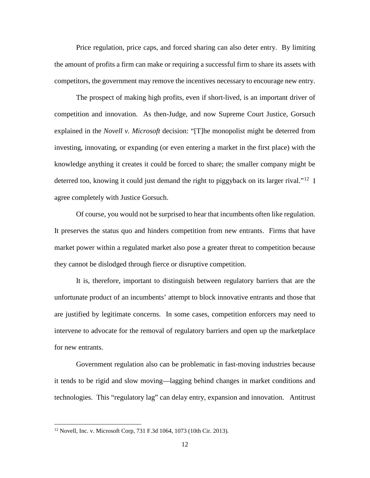Price regulation, price caps, and forced sharing can also deter entry. By limiting the amount of profits a firm can make or requiring a successful firm to share its assets with competitors, the government may remove the incentives necessary to encourage new entry.

The prospect of making high profits, even if short-lived, is an important driver of competition and innovation. As then-Judge, and now Supreme Court Justice, Gorsuch explained in the *Novell v. Microsoft* decision: "[T]he monopolist might be deterred from investing, innovating, or expanding (or even entering a market in the first place) with the knowledge anything it creates it could be forced to share; the smaller company might be deterred too, knowing it could just demand the right to piggyback on its larger rival."<sup>[12](#page-12-0)</sup> I agree completely with Justice Gorsuch.

Of course, you would not be surprised to hear that incumbents often like regulation. It preserves the status quo and hinders competition from new entrants. Firms that have market power within a regulated market also pose a greater threat to competition because they cannot be dislodged through fierce or disruptive competition.

It is, therefore, important to distinguish between regulatory barriers that are the unfortunate product of an incumbents' attempt to block innovative entrants and those that are justified by legitimate concerns. In some cases, competition enforcers may need to intervene to advocate for the removal of regulatory barriers and open up the marketplace for new entrants.

Government regulation also can be problematic in fast-moving industries because it tends to be rigid and slow moving—lagging behind changes in market conditions and technologies. This "regulatory lag" can delay entry, expansion and innovation. Antitrust

<span id="page-12-0"></span><sup>12</sup> Novell, Inc. v. Microsoft Corp, 731 F.3d 1064, 1073 (10th Cir. 2013).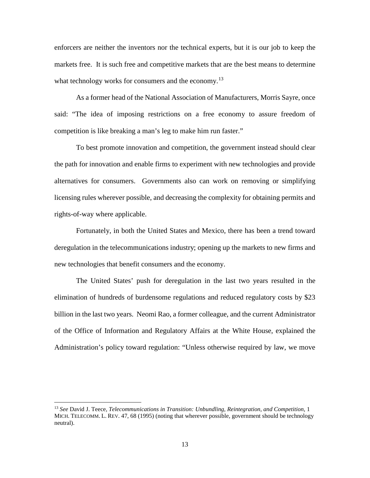enforcers are neither the inventors nor the technical experts, but it is our job to keep the markets free. It is such free and competitive markets that are the best means to determine what technology works for consumers and the economy.<sup>13</sup>

As a former head of the National Association of Manufacturers, Morris Sayre, once said: "The idea of imposing restrictions on a free economy to assure freedom of competition is like breaking a man's leg to make him run faster."

To best promote innovation and competition, the government instead should clear the path for innovation and enable firms to experiment with new technologies and provide alternatives for consumers. Governments also can work on removing or simplifying licensing rules wherever possible, and decreasing the complexity for obtaining permits and rights-of-way where applicable.

Fortunately, in both the United States and Mexico, there has been a trend toward deregulation in the telecommunications industry; opening up the markets to new firms and new technologies that benefit consumers and the economy.

The United States' push for deregulation in the last two years resulted in the elimination of hundreds of burdensome regulations and reduced regulatory costs by \$23 billion in the last two years. Neomi Rao, a former colleague, and the current Administrator of the Office of Information and Regulatory Affairs at the White House, explained the Administration's policy toward regulation: "Unless otherwise required by law, we move

<span id="page-13-0"></span><sup>13</sup> *See* David J. Teece, *Telecommunications in Transition: Unbundling, Reintegration, and Competition,* 1 MICH. TELECOMM. L. REV. 47, 68 (1995) (noting that wherever possible, government should be technology neutral).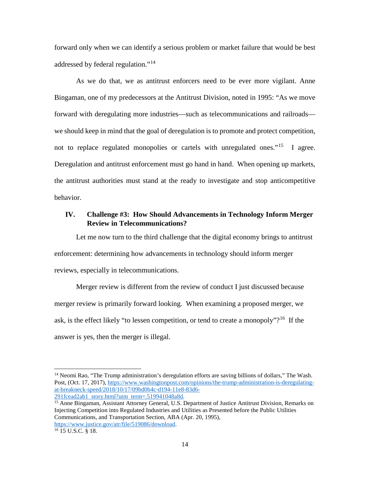forward only when we can identify a serious problem or market failure that would be best addressed by federal regulation."[14](#page-14-0)

As we do that, we as antitrust enforcers need to be ever more vigilant. Anne Bingaman, one of my predecessors at the Antitrust Division, noted in 1995: "As we move forward with deregulating more industries—such as telecommunications and railroads we should keep in mind that the goal of deregulation is to promote and protect competition, not to replace regulated monopolies or cartels with unregulated ones."<sup>[15](#page-14-1)</sup> I agree. Deregulation and antitrust enforcement must go hand in hand. When opening up markets, the antitrust authorities must stand at the ready to investigate and stop anticompetitive behavior.

# **IV. Challenge #3: How Should Advancements in Technology Inform Merger Review in Telecommunications?**

Let me now turn to the third challenge that the digital economy brings to antitrust enforcement: determining how advancements in technology should inform merger reviews, especially in telecommunications.

Merger review is different from the review of conduct I just discussed because merger review is primarily forward looking. When examining a proposed merger, we ask, is the effect likely "to lessen competition, or tend to create a monopoly"?<sup>16</sup> If the answer is yes, then the merger is illegal.

 $\overline{\phantom{a}}$ 

<span id="page-14-0"></span><sup>&</sup>lt;sup>14</sup> Neomi Rao, "The Trump administration's deregulation efforts are saving billions of dollars," The Wash. Post, (Oct. 17, 2017), [https://www.washingtonpost.com/opinions/the-trump-administration-is-deregulating](https://www.washingtonpost.com/opinions/the-trump-administration-is-deregulating-at-breakneck-speed/2018/10/17/09bd0b4c-d194-11e8-83d6-291fcead2ab1_story.html?utm_term=.519941048a8d)[at-breakneck-speed/2018/10/17/09bd0b4c-d194-11e8-83d6-](https://www.washingtonpost.com/opinions/the-trump-administration-is-deregulating-at-breakneck-speed/2018/10/17/09bd0b4c-d194-11e8-83d6-291fcead2ab1_story.html?utm_term=.519941048a8d)<br>291fcead2ab1\_story.html?utm\_term=.519941048a8d.

<span id="page-14-1"></span><sup>&</sup>lt;sup>15</sup> Anne Bingaman, Assistant Attorney General, U.S. Department of Justice Antitrust Division, Remarks on Injecting Competition into Regulated Industries and Utilities as Presented before the Public Utilities Communications, and Transportation Section, ABA (Apr. 20, 1995), [https://www.justice.gov/atr/file/519086/download.](https://www.justice.gov/atr/file/519086/download)<sup>[16](https://www.justice.gov/atr/file/519086/download)</sup> 15 U.S.C. § 18.

<span id="page-14-2"></span>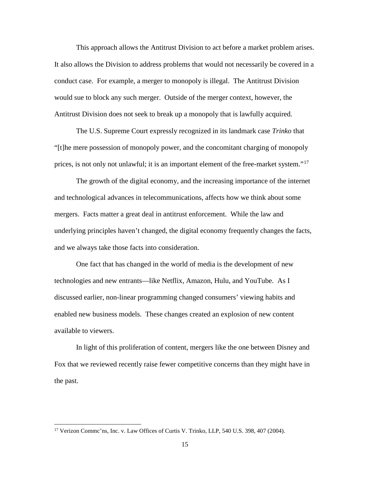This approach allows the Antitrust Division to act before a market problem arises. It also allows the Division to address problems that would not necessarily be covered in a conduct case. For example, a merger to monopoly is illegal. The Antitrust Division would sue to block any such merger. Outside of the merger context, however, the Antitrust Division does not seek to break up a monopoly that is lawfully acquired.

The U.S. Supreme Court expressly recognized in its landmark case *Trinko* that "[t]he mere possession of monopoly power, and the concomitant charging of monopoly prices, is not only not unlawful; it is an important element of the free-market system."[17](#page-15-0)

The growth of the digital economy, and the increasing importance of the internet and technological advances in telecommunications, affects how we think about some mergers. Facts matter a great deal in antitrust enforcement. While the law and underlying principles haven't changed, the digital economy frequently changes the facts, and we always take those facts into consideration.

One fact that has changed in the world of media is the development of new technologies and new entrants—like Netflix, Amazon, Hulu, and YouTube. As I discussed earlier, non-linear programming changed consumers' viewing habits and enabled new business models. These changes created an explosion of new content available to viewers.

In light of this proliferation of content, mergers like the one between Disney and Fox that we reviewed recently raise fewer competitive concerns than they might have in the past.

<span id="page-15-0"></span><sup>&</sup>lt;sup>17</sup> Verizon Commc'ns, Inc. v. Law Offices of Curtis V. Trinko, LLP, 540 U.S. 398, 407 (2004).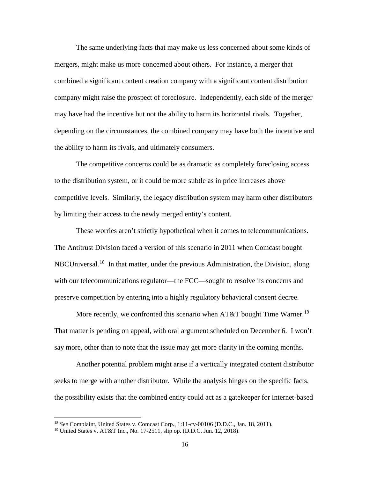The same underlying facts that may make us less concerned about some kinds of mergers, might make us more concerned about others. For instance, a merger that combined a significant content creation company with a significant content distribution company might raise the prospect of foreclosure. Independently, each side of the merger may have had the incentive but not the ability to harm its horizontal rivals. Together, depending on the circumstances, the combined company may have both the incentive and the ability to harm its rivals, and ultimately consumers.

The competitive concerns could be as dramatic as completely foreclosing access to the distribution system, or it could be more subtle as in price increases above competitive levels. Similarly, the legacy distribution system may harm other distributors by limiting their access to the newly merged entity's content.

These worries aren't strictly hypothetical when it comes to telecommunications. The Antitrust Division faced a version of this scenario in 2011 when Comcast bought NBCUniversal.<sup>[18](#page-16-0)</sup> In that matter, under the previous Administration, the Division, along with our telecommunications regulator—the FCC—sought to resolve its concerns and preserve competition by entering into a highly regulatory behavioral consent decree.

More recently, we confronted this scenario when AT&T bought Time Warner.<sup>19</sup> That matter is pending on appeal, with oral argument scheduled on December 6. I won't say more, other than to note that the issue may get more clarity in the coming months.

Another potential problem might arise if a vertically integrated content distributor seeks to merge with another distributor. While the analysis hinges on the specific facts, the possibility exists that the combined entity could act as a gatekeeper for internet-based

l

<span id="page-16-0"></span><sup>18</sup> *See* Complaint, United States v. Comcast Corp., 1:11-cv-00106 (D.D.C., Jan. 18, 2011).

<span id="page-16-1"></span><sup>19</sup> United States v. AT&T Inc., No. 17-2511, slip op. (D.D.C. Jun. 12, 2018).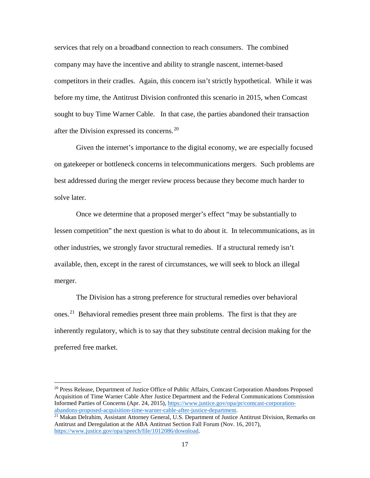services that rely on a broadband connection to reach consumers. The combined company may have the incentive and ability to strangle nascent, internet-based competitors in their cradles. Again, this concern isn't strictly hypothetical. While it was before my time, the Antitrust Division confronted this scenario in 2015, when Comcast sought to buy Time Warner Cable. In that case, the parties abandoned their transaction after the Division expressed its concerns.<sup>[20](#page-17-0)</sup>

Given the internet's importance to the digital economy, we are especially focused on gatekeeper or bottleneck concerns in telecommunications mergers. Such problems are best addressed during the merger review process because they become much harder to solve later.

Once we determine that a proposed merger's effect "may be substantially to lessen competition" the next question is what to do about it. In telecommunications, as in other industries, we strongly favor structural remedies. If a structural remedy isn't available, then, except in the rarest of circumstances, we will seek to block an illegal merger.

The Division has a strong preference for structural remedies over behavioral ones.[21](#page-17-1) Behavioral remedies present three main problems. The first is that they are inherently regulatory, which is to say that they substitute central decision making for the preferred free market.

<span id="page-17-0"></span><sup>&</sup>lt;sup>20</sup> Press Release, Department of Justice Office of Public Affairs, Comcast Corporation Abandons Proposed Acquisition of Time Warner Cable After Justice Department and the Federal Communications Commission Informed Parties of Concerns (Apr. 24, 2015)[, https://www.justice.gov/opa/pr/comcast-corporation](https://www.justice.gov/opa/pr/comcast-corporation-abandons-proposed-acquisition-time-warner-cable-after-justice-department)[abandons-proposed-acquisition-time-warner-cable-after-justice-department.](https://www.justice.gov/opa/pr/comcast-corporation-abandons-proposed-acquisition-time-warner-cable-after-justice-department)

<span id="page-17-1"></span><sup>&</sup>lt;sup>21</sup> Makan Delrahim, Assistant Attorney General, U.S. Department of Justice Antitrust Division, Remarks on Antitrust and Deregulation at the ABA Antitrust Section Fall Forum (Nov. 16, 2017), [https://www.justice.gov/opa/speech/file/1012086/download.](https://www.justice.gov/opa/speech/file/1012086/download)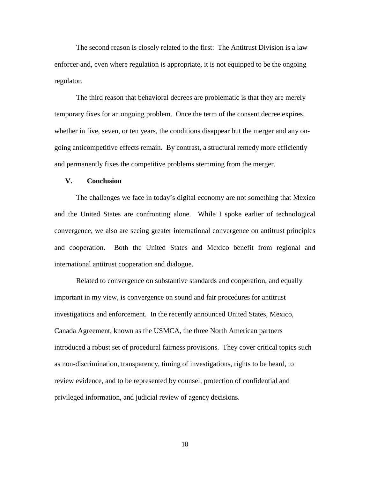The second reason is closely related to the first: The Antitrust Division is a law enforcer and, even where regulation is appropriate, it is not equipped to be the ongoing regulator.

The third reason that behavioral decrees are problematic is that they are merely temporary fixes for an ongoing problem. Once the term of the consent decree expires, whether in five, seven, or ten years, the conditions disappear but the merger and any ongoing anticompetitive effects remain. By contrast, a structural remedy more efficiently and permanently fixes the competitive problems stemming from the merger.

# **V. Conclusion**

The challenges we face in today's digital economy are not something that Mexico and the United States are confronting alone. While I spoke earlier of technological convergence, we also are seeing greater international convergence on antitrust principles and cooperation. Both the United States and Mexico benefit from regional and international antitrust cooperation and dialogue.

Related to convergence on substantive standards and cooperation, and equally important in my view, is convergence on sound and fair procedures for antitrust investigations and enforcement. In the recently announced United States, Mexico, Canada Agreement, known as the USMCA, the three North American partners introduced a robust set of procedural fairness provisions. They cover critical topics such as non-discrimination, transparency, timing of investigations, rights to be heard, to review evidence, and to be represented by counsel, protection of confidential and privileged information, and judicial review of agency decisions.

18